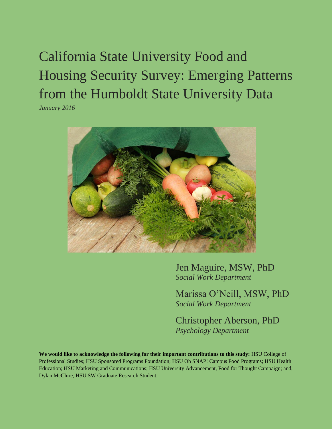# California State University Food and Housing Security Survey: Emerging Patterns from the Humboldt State University Data

*January 2016*



Jen Maguire, MSW, PhD *Social Work Department*

Marissa O'Neill, MSW, PhD *Social Work Department*

Christopher Aberson, PhD *Psychology Department*

**We would like to acknowledge the following for their important contributions to this study:** HSU College of Professional Studies; HSU Sponsored Programs Foundation; HSU Oh SNAP! Campus Food Programs; HSU Health Education; HSU Marketing and Communications; HSU University Advancement, Food for Thought Campaign; and, Dylan McClure, HSU SW Graduate Research Student.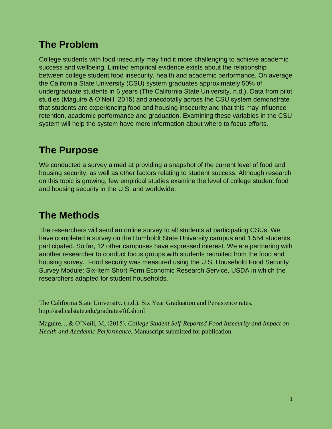# **The Problem**

College students with food insecurity may find it more challenging to achieve academic success and wellbeing. Limited empirical evidence exists about the relationship between college student food insecurity, health and academic performance. On average the California State University (CSU) system graduates approximately 50% of undergraduate students in 6 years (The California State University, n.d.). Data from pilot studies (Maguire & O'Neill, 2015) and anecdotally across the CSU system demonstrate that students are experiencing food and housing insecurity and that this may influence retention, academic performance and graduation. Examining these variables in the CSU system will help the system have more information about where to focus efforts.

# **The Purpose**

We conducted a survey aimed at providing a snapshot of the current level of food and housing security, as well as other factors relating to student success. Although research on this topic is growing, few empirical studies examine the level of college student food and housing security in the U.S. and worldwide.

# **The Methods**

The researchers will send an online survey to all students at participating CSUs. We have completed a survey on the Humboldt State University campus and 1,554 students participated. So far, 12 other campuses have expressed interest. We are partnering with another researcher to conduct focus groups with students recruited from the food and housing survey. Food security was measured using the U.S. Household Food Security Survey Module: Six-Item Short Form Economic Research Service, USDA in which the researchers adapted for student households.

The California State University. (n.d.). Six Year Graduation and Persistence rates. http://asd.calstate.edu/gradrates/ftf.shtml

Maguire, J. & O'Neill, M, (2015). *College Student Self-Reported Food Insecurity and Impact on Health and Academic Performance.* Manuscript submitted for publication.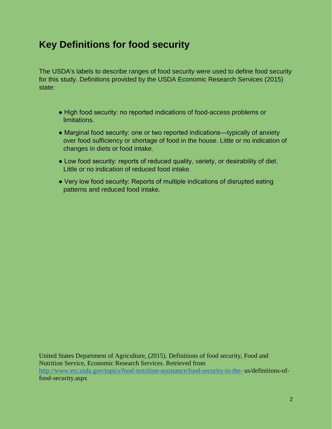### **Key Definitions for food security**

The USDA's labels to describe ranges of food security were used to define food security for this study. Definitions provided by the USDA Economic Research Services (2015) state:

- High food security: no reported indications of food-access problems or limitations.
- Marginal food security: one or two reported indications—typically of anxiety over food sufficiency or shortage of food in the house. Little or no indication of changes in diets or food intake.
- Low food security: reports of reduced quality, variety, or desirability of diet. Little or no indication of reduced food intake.
- Very low food security: Reports of multiple indications of disrupted eating patterns and reduced food intake.

United States Department of Agriculture, (2015). Definitions of food security, Food and Nutrition Service, Economic Research Services. Retrieved from <http://www.ers.usda.gov/topics/food-nutrition-assistance/food-security-in-the-> us/definitions-offood-security.aspx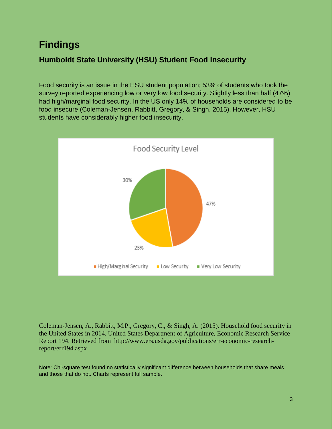### **Findings**

#### **Humboldt State University (HSU) Student Food Insecurity**

Food security is an issue in the HSU student population; 53% of students who took the survey reported experiencing low or very low food security. Slightly less than half (47%) had high/marginal food security. In the US only 14% of households are considered to be food insecure (Coleman-Jensen, Rabbitt, Gregory, & Singh, 2015). However, HSU students have considerably higher food insecurity.



Coleman-Jensen, A., Rabbitt, M.P., Gregory, C., & Singh, A. (2015). Household food security in the United States in 2014. United States Department of Agriculture, Economic Research Service Report 194. Retrieved from http://www.ers.usda.gov/publications/err-economic-researchreport/err194.aspx

Note: Chi-square test found no statistically significant difference between households that share meals and those that do not. Charts represent full sample.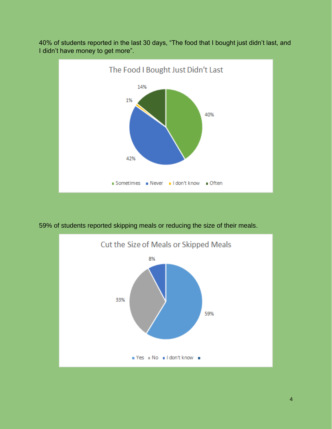

40% of students reported in the last 30 days, "The food that I bought just didn't last, and I didn't have money to get more".

59% of students reported skipping meals or reducing the size of their meals.

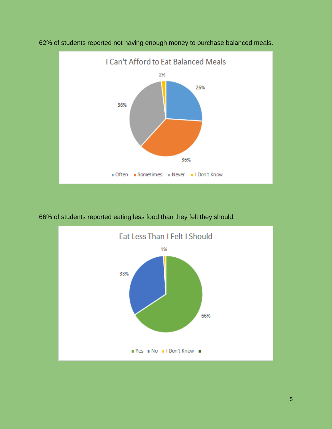

62% of students reported not having enough money to purchase balanced meals.

66% of students reported eating less food than they felt they should.

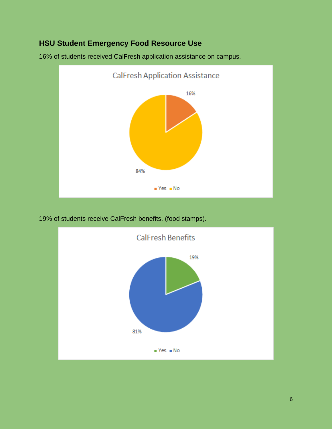#### **HSU Student Emergency Food Resource Use**





19% of students receive CalFresh benefits, (food stamps).

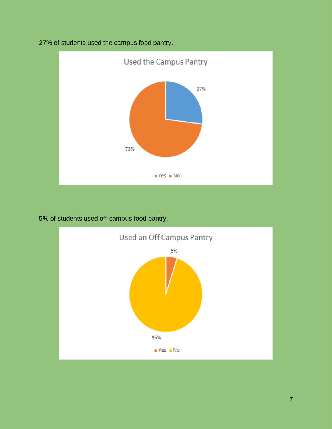

27% of students used the campus food pantry.

5% of students used off-campus food pantry.

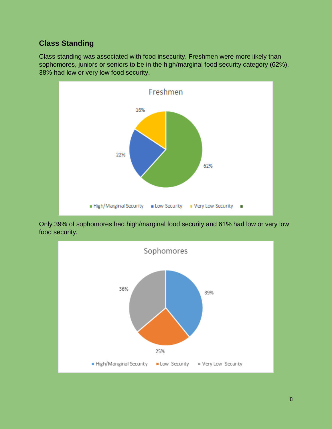#### **Class Standing**

Class standing was associated with food insecurity. Freshmen were more likely than sophomores, juniors or seniors to be in the high/marginal food security category (62%). 38% had low or very low food security.



Only 39% of sophomores had high/marginal food security and 61% had low or very low food security.

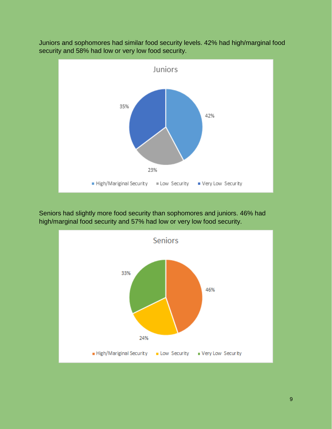

Juniors and sophomores had similar food security levels. 42% had high/marginal food security and 58% had low or very low food security.

Seniors had slightly more food security than sophomores and juniors. 46% had high/marginal food security and 57% had low or very low food security.

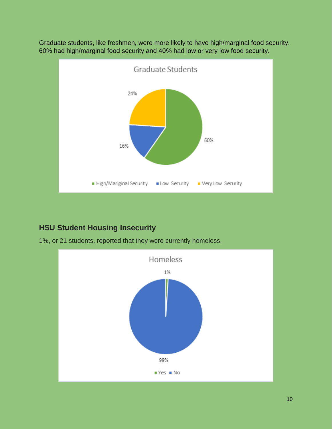

Graduate students, like freshmen, were more likely to have high/marginal food security. 60% had high/marginal food security and 40% had low or very low food security.

#### **HSU Student Housing Insecurity**

1%, or 21 students, reported that they were currently homeless.